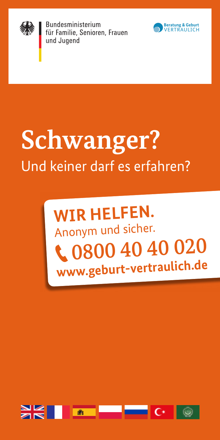

Bundesministerium für Familie, Senioren, Frauen und Jugend



# **Schwanger?** Und keiner darf es erfahren?

## **WIR HELFEN.** Anonym und sicher. 0800 40 40 020 **www.geburt-vertraulich.de**

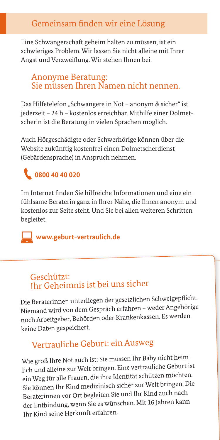### Gemeinsam finden wir eine Lösung

Eine Schwangerschaft geheim halten zu müssen, ist ein schwieriges Problem. Wir lassen Sie nicht alleine mit Ihrer Angst und Verzweiflung. Wir stehen Ihnen bei.

#### Anonyme Beratung: Sie müssen Ihren Namen nicht nennen.

Das Hilfetelefon "Schwangere in Not – anonym & sicher" ist jederzeit – 24 h – kostenlos erreichbar. Mithilfe einer Dolmetscherin ist die Beratung in vielen Sprachen möglich.

Auch Hörgeschädigte oder Schwerhörige können über die Website zukünftig kostenfrei einen Dolmetscherdienst (Gebärdensprache) in Anspruch nehmen.

### **0800 40 40 020**

Im Internet finden Sie hilfreiche Informationen und eine einfühlsame Beraterin ganz in Ihrer Nähe, die Ihnen anonym und kostenlos zur Seite steht. Und Sie bei allen weiteren Schritten begleitet.

 **www.geburt-vertraulich.de**

#### Geschützt: Ihr Geheimnis ist bei uns sicher

Die Beraterinnen unterliegen der gesetzlichen Schweigepflicht. Niemand wird von dem Gespräch erfahren – weder Angehörige noch Arbeitgeber, Behörden oder Krankenkassen. Es werden keine Daten gespeichert.

### Vertrauliche Geburt: ein Ausweg

Wie groß Ihre Not auch ist: Sie müssen Ihr Baby nicht heimlich und alleine zur Welt bringen. Eine vertrauliche Geburt ist ein Weg für alle Frauen, die ihre Identität schützen möchten. Sie können Ihr Kind medizinisch sicher zur Welt bringen. Die Beraterinnen vor Ort begleiten Sie und Ihr Kind auch nach der Entbindung, wenn Sie es wünschen. Mit 16 Jahren kann Ihr Kind seine Herkunft erfahren.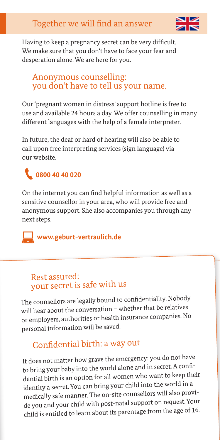

Having to keep a pregnancy secret can be very difficult. We make sure that you don't have to face your fear and desperation alone. We are here for you.

#### Anonymous counselling: you don't have to tell us your name.

Our 'pregnant women in distress' support hotline is free to use and available 24 hours a day. We offer counselling in many different languages with the help of a female interpreter.

In future, the deaf or hard of hearing will also be able to call upon free interpreting services (sign language) via our website.

### **0800 40 40 020**

On the internet you can find helpful information as well as a sensitive counsellor in your area, who will provide free and anonymous support. She also accompanies you through any next steps.

 **www.geburt-vertraulich.de**

#### Rest assured: your secret is safe with us

The counsellors are legally bound to confidentiality. Nobody will hear about the conversation – whether that be relatives or employers, authorities or health insurance companies. No personal information will be saved.

### Confidential birth: a way out

It does not matter how grave the emergency: you do not have to bring your baby into the world alone and in secret. A confidential birth is an option for all women who want to keep their identity a secret. You can bring your child into the world in a medically safe manner. The on-site counsellors will also provide you and your child with post-natal support on request. Your child is entitled to learn about its parentage from the age of 16.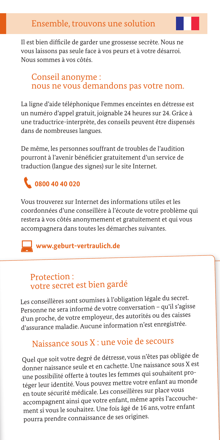Il est bien difficile de garder une grossesse secrète. Nous ne vous laissons pas seule face à vos peurs et à votre désarroi. Nous sommes à vos côtés.

#### Conseil anonyme : nous ne vous demandons pas votre nom.

La ligne d'aide téléphonique Femmes enceintes en détresse est un numéro d'appel gratuit, joignable 24 heures sur 24. Grâce à une traductrice-interprète, des conseils peuvent être dispensés dans de nombreuses langues.

De même, les personnes souffrant de troubles de l'audition pourront à l'avenir bénéficier gratuitement d'un service de traduction (langue des signes) sur le site Internet.

### **0800 40 40 020**

Vous trouverez sur Internet des informations utiles et les coordonnées d'une conseillère à l'écoute de votre problème qui restera à vos côtés anonymement et gratuitement et qui vous accompagnera dans toutes les démarches suivantes.

### **www.geburt-vertraulich.de**

#### Protection : votre secret est bien gardé

Les conseillères sont soumises à l'obligation légale du secret. Personne ne sera informé de votre conversation – qu'il s'agisse d'un proche, de votre employeur, des autorités ou des caisses d'assurance maladie. Aucune information n'est enregistrée.

### Naissance sous X : une voie de secours

Quel que soit votre degré de détresse, vous n'êtes pas obligée de donner naissance seule et en cachette. Une naissance sous X est une possibilité offerte à toutes les femmes qui souhaitent protéger leur identité. Vous pouvez mettre votre enfant au monde en toute sécurité médicale. Les conseillères sur place vous accompagnent ainsi que votre enfant, même après l'accouchement si vous le souhaitez. Une fois âgé de 16 ans, votre enfant pourra prendre connaissance de ses origines.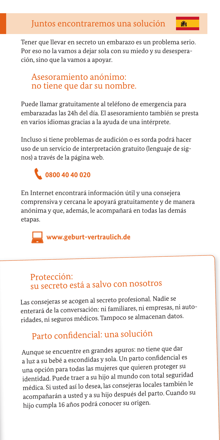Tener que llevar en secreto un embarazo es un problema serio. Por eso no la vamos a dejar sola con su miedo y su desesperación, sino que la vamos a apoyar.

#### Asesoramiento anónimo: no tiene que dar su nombre.

Puede llamar gratuitamente al teléfono de emergencia para embarazadas las 24h del día. El asesoramiento también se presta en varios idiomas gracias a la ayuda de una intérprete.

Incluso si tiene problemas de audición o es sorda podrá hacer uso de un servicio de interpretación gratuito (lenguaje de signos) a través de la página web.

### **0800 40 40 020**

En Internet encontrará información útil y una consejera comprensiva y cercana le apoyará gratuitamente y de manera anónima y que, además, le acompañará en todas las demás etapas.



 **www.geburt-vertraulich.de**

#### Protección: su secreto está a salvo con nosotros

Las consejeras se acogen al secreto profesional. Nadie se enterará de la conversación: ni familiares, ni empresas, ni autoridades, ni seguros médicos. Tampoco se almacenan datos.

### Parto confidencial: una solución

Aunque se encuentre en grandes apuros: no tiene que dar a luz a su bebé a escondidas y sola. Un parto confidencial es una opción para todas las mujeres que quieren proteger su identidad. Puede traer a su hijo al mundo con total seguridad médica. Si usted así lo desea, las consejeras locales también le acompañarán a usted y a su hijo después del parto. Cuando su hijo cumpla 16 años podrá conocer su origen.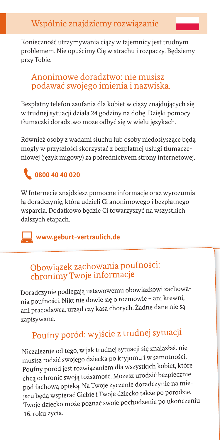Konieczność utrzymywania ciąży w tajemnicy jest trudnym problemem. Nie opuścimy Cię w strachu i rozpaczy. Będziemy przy Tobie.

### Anonimowe doradztwo: nie musisz podawać swojego imienia i nazwiska.

Bezpłatny telefon zaufania dla kobiet w ciąży znajdujących się w trudnej sytuacji działa 24 godziny na dobę. Dzięki pomocy tłumaczki doradztwo może odbyć się w wielu językach.

Również osoby z wadami słuchu lub osoby niedosłyszące będą mogły w przyszłości skorzystać z bezpłatnej usługi tłumaczeniowej (język migowy) za pośrednictwem strony internetowej.

### **0800 40 40 020**

W Internecie znajdziesz pomocne informacje oraz wyrozumiałą doradczynię, która udzieli Ci anonimowego i bezpłatnego wsparcia. Dodatkowo będzie Ci towarzyszyć na wszystkich dalszych etapach.

 **www.geburt-vertraulich.de**

### Obowiązek zachowania poufności: chronimy Twoje informacje

Doradczynie podlegają ustawowemu obowiązkowi zachowania poufności. Nikt nie dowie się o rozmowie – ani krewni, ani pracodawca, urząd czy kasa chorych. Żadne dane nie są zapisywane.

### Poufny poród: wyjście z trudnej sytuacji

Niezależnie od tego, w jak trudnej sytuacji się znalazłaś: nie musisz rodzić swojego dziecka po kryjomu i w samotności. Poufny poród jest rozwiązaniem dla wszystkich kobiet, które chcą ochronić swoją tożsamość. Możesz urodzić bezpiecznie pod fachową opieką. Na Twoje życzenie doradczynie na miejscu będą wspierać Ciebie i Twoje dziecko także po porodzie. Twoje dziecko może poznać swoje pochodzenie po ukończeniu 16. roku życia.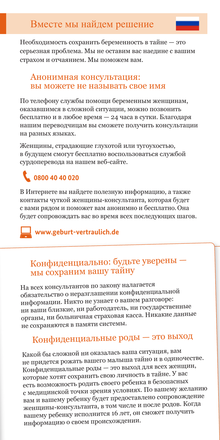Необходимость сохранить беременность в тайне — это серьезная проблема. Мы не оставим вас наедине с вашим страхом и отчаянием. Мы поможем вам.

#### Анонимная консультация: вы можете не называть свое имя

По телефону службы помощи беременным женщинам, оказавшимся в сложной ситуации, можно позвонить бесплатно и в любое время — 24 часа в сутки. Благодаря нашим переводчицам вы сможете получить консультации на разных языках.

Женщины, страдающие глухотой или тугоухостью, в будущем смогут бесплатно воспользоваться службой сурдоперевода на нашем веб-сайте.

### **0800 40 40 020**

В Интернете вы найдете полезную информацию, а также контакты чуткой женщины-консультанта, которая будет с вами рядом и поможет вам анонимно и бесплатно. Она будет сопровождать вас во время всех последующих шагов.

#### **www.geburt-vertraulich.de**

### Конфиденциально: будьте уверены мы сохраним вашу тайну

На всех консультантов по закону налагается обязательство о неразглашении конфиденциально<sup>й</sup> информации. Никто не узнает о вашем разговоре: ни ваши близкие, ни работодатель, ни государственные органы, ни больничная страховая касса. Никакие данные не сохраняются в памяти системы.

### Конфиденциальные роды — это выход

Какой бы сложной ни оказалась ваша ситуация, вам не придется рожать вашего малыша тайно и в одиночестве. Конфиденциальные роды — это выход для всех женщин, которые хотят сохранить свою личность в тайне. У вас есть возможность родить своего ребенка в безопасных с медицинской точки зрения условиях. По вашему желанию вам и вашему ребенку будет предоставлено сопровождение женщины-консультанта, в том числе и после родов. Когда вашему ребенку исполнится 16 лет, он сможет получить информацию о своем происхождении.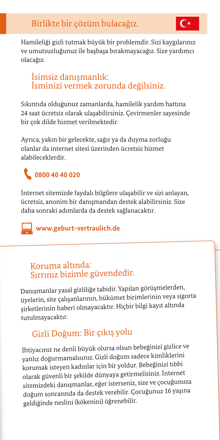Hamileliği gizli tutmak büyük bir problemdir. Sizi kaygılarınız ve umutsuzluğunuz ile başbaşa bırakmayacağız. Size yardımcı olacağız.

### İsimsiz danışmanlık: İsminizi vermek zorunda değilsiniz.

Sıkıntıda olduğunuz zamanlarda, hamilelik yardım hattına 24 saat ücretsiz olarak ulaşabilirsiniz. Çevirmenler sayesinde bir çok dilde hizmet verilmektedir.

Ayrıca, yakın bir gelecekte, sağır ya da duyma zorluğu olanlar da internet sitesi üzerinden ücretsiz hizmet alabileceklerdir.

### **0800 40 40 020**

İnternet sitemizde faydalı bilgilere ulaşabilir ve sizi anlayan, ücretsiz, anonim bir danışmandan destek alabilirsiniz. Size daha sonraki adımlarda da destek sağlanacaktır.

### **www.geburt-vertraulich.de**

### Koruma altında: Sırrınız bizimle güvendedir.

Danışmanlar yasal gizliliğe tabidir. Yapılan görüşmelerden, üyelerin, site çalışanlarının, hükümet birimlerinin veya sigorta şirketlerinin haberi olmayacaktır. Hiçbir bilgi kayıt altında tutulmayacaktır.

### Gizli Doğum: Bir çıkış yolu

İhtiyacınız ne denli büyük olursa olsun bebeğinizi gizlice ve yanlız doğurmamalısınız. Gizli doğum sadece kimliklerini korumak isteyen kadınlar için bir yoldur. Bebeğinizi tıbbi olarak güvenli bir şekilde dünyaya getirmelisiniz. İnternet sitemizdeki danışmanlar, eğer isterseniz, size ve çocuğunuza doğum sonrasında da destek verebilir. Çocuğunuz 16 yaşına geldiğinde neslini (kökenini) öğrenebilir.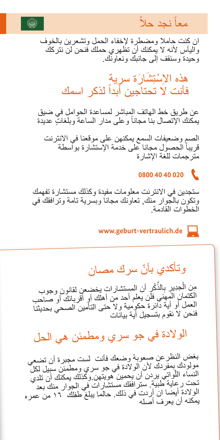

### ً نجد حال معا

ان كنت حامال ومضطرة إلخفاء الحمل وتشعرين بالخوف واليأس ألنه ال يمكنك أن تظهري حملك فنحن لن نتركك وحيدة وسنقف إلى جانبك ونعاونك.

> هذه الإسْتِشَارَة سرِية فأنت لا تحتاجين أبداً لذكر اسمك

عن طريق خط الهاتف المباشر لمساعدة الحوامل في ضيق يمكنك الإتصال بنا مجاناً وعلى مدار الساعة وبلغاتٍ عديدة

الصم وضعيفات السمع يمكنهن على موقعنا في االنترنت قريباً الحصول مجانا على خدمة الإستشارة بواسطة مترجمات للغة اإلشارة

### **0800 40 40 020**

ستجدين في االنترنت معلومات مفيدة وكذلك مستشارة تفهمك وتكون بالجوار منك, تعاونك مجانا وبسرية تامة وترافقك في<br>الخطوات القادمة

**www.geburt-vertraulich.de** 

### وتأكدي بأنّ سرك مصـان

لْجِدِيرِ بِالذِّكْرِ أن المستشارات يخضعن لقانون وجوب الكتمان المهني فلن يعلم أحد من أهلك أو أقربائك أو صاحب ِمن ال العمل أو أية دائرة حكومية وال حتى التأمين الصحي بحديثنا فنحن ال نقوم بتسجيل أية بيانات

الوالدة في جو سري ومطمئن هي الحل

بغض النظرعن صعوبة وضعك فأنت لست مجبرة أن تضعي مولودك بمفردك ألن الوالدة في جو سري ومطمئن سبيل لكل النساء اللَّواتي يردن أن يحمين هويتهن.وكذلك يمكنك أن تلدي<br>تحتمين علية لسبق النتائج تحت رعاية طبية. سترافقك مستشارات في الجوار منك بعد الولادة أيضا ان أردت في ذلك. حالما يبلغ طفلك ١٦ من عمره<br>يمكنه أن يعرف أصله